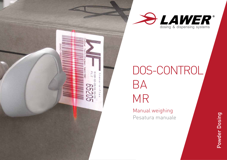



# DOS-CONTROL BA MR

Manual weighing Pesatura manuale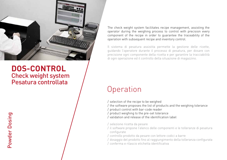

### **DOS-CONTROL** Check weight system Pesatura controllata

The check weight system facilitates recipe management, assisting the operator during the weighing process to control with precision every component of the recipe in order to guarantee the traceability of the operation with subsequent recipe and inventory control.

Il sistema di pesatura assistita permette la gestione delle ricette, guidando l'operatore durante il processo di pesatura, per dosare con precisione ogni componente della ricetta e per garantire la tracciabilità di ogni operazione ed il controllo della situazione di magazzino.

# **Operation**

- / selection of the recipe to be weighed
- / the software proposes the list of products and the weighing tolerance
- / product control with bar-code reader
- / product weighing to the pre-set tolerance
- / validation and release of the identification label
- / selezione ricetta da pesare
- / il software propone l'elenco delle componenti e le tolleranze di pesatura configurate
- / controllo prodotto da pesare con lettore codici a barre
- / dosaggio del prodotto fino al raggiungimento della tolleranza configurata
- / conferma e rilascio etichetta identificativa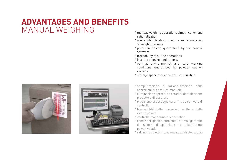# **ADVANTAGES AND BENEFITS** MANUAL WEIGHING

- manual weighing operations simplification and rationalization
- / waste, identification of errors and elimination of weighing errors
- / precision dosing guaranteed by the control software
- / traceability of all the operations
- / inventory control and reports
- / optimal environmental and safe working conditions guaranteed by powder suction systems
- / storage space reduction and optimization





- / semplificazione e razionalizzazione delle operazioni di pesatura manuale
- / eliminazione sprechi ed errori d'identificazione prodotto o di pesatura
- / precisione di dosaggio garantita da software di controllo
- / tracciabilità delle operazioni svolte e delle ricette pesate
- / controllo magazzino e reportistica
- / condizioni igienico-ambientali ottimali garantite da sistemi d'aspirazione ed abbattimento polveri volatili
- / riduzione ed ottimizzazione spazi di stoccaggio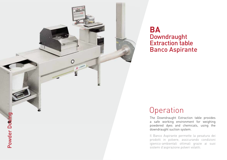

### **BA** Downdraught Extraction table Banco Aspirante

# **Operation**

The Downdraught Extraction table provides a safe working environment for weighing powdered dyes and chemicals, using the downdraught suction system.

Il Banco Aspirante permette la pesatura dei prodotti in polvere, assicurando condizioni igienico-ambientali ottimali grazie ai suoi sistemi d'aspirazione polveri volatili.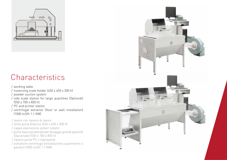

# **Characteristics**

/ working table

- / traversing scale holder (450 x 650 x 300 h)
- / powder suction system
- / side scale station for large quantities (Optional) (550 x 700 x 850 h)
- / PC and printer station
- / centrifugal extractor (floor or wall installation) (1000 m3/h 1,1 KW)

/ tavolo con ripiano di lavoro

- / slitta porta bilancia (450 x 650 x 300 h)
- / cappa aspirazione polveri volatili
- / porta-bascula laterale per dosaggio grandi quantità (Opzionale) (550 x 700 x 850 h)
- / ripiano porta PC e stampante
- / estrattore centrifugo (installazione a pavimento o parete) (1000 m3/h 1,1 KW)

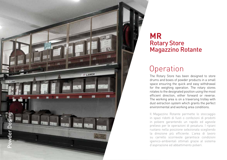

### **MR** Rotary Store Magazzino Rotante

# **Operation**

The Rotary Store has been designed to store drums and boxes of powder products in a small space ensuring the quick and easy withdrawal for the weighing operation. The rotary stores rotates to the designated position using the most efficient direction, either forward or reverse. The working area is on a traversing trolley with dust extraction system which grants the perfect environmental and working area conditions.

Il Magazzino Rotante permette lo stoccaggio in spazi ridotti di fusti o confezioni di prodotti in polvere garantendo un rapido ed agevole prelievo per le operazioni di pesatura. I ripiani ruotano nella posizione selezionata scegliendo la direzione più efficiente. L'area di lavoro su carrello scorrevole garantisce condizioni igienico-ambientali ottimali grazie al sistema d'aspirazione ed abbattimento polveri.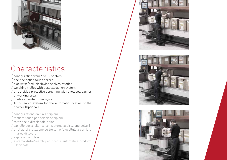

# **Characteristics**

- / configuration from 6 to 12 shelves
- / shelf selection touch screen
- / clockwise/anti-clockwise shelves rotation
- / weighing trolley with dust extraction system
- / three-sided protective screening with photocell barrier at working area
- / double chamber filter system
- / Auto-Search system for the automatic location of the powder (Optional)
- / configurazione da 6 a 12 ripiani
- / tastiera touch per selezione ripiani
- / rotazione bidirezionale ripiani
- / carrello porta-bilance con sistema aspirazione polveri
- / grigliati di protezione su tre lati e fotocellule a barriera in area di lavoro
- / aspirazione polveri
- / sistema Auto-Search per ricerca automatica prodotto (Opzionale)